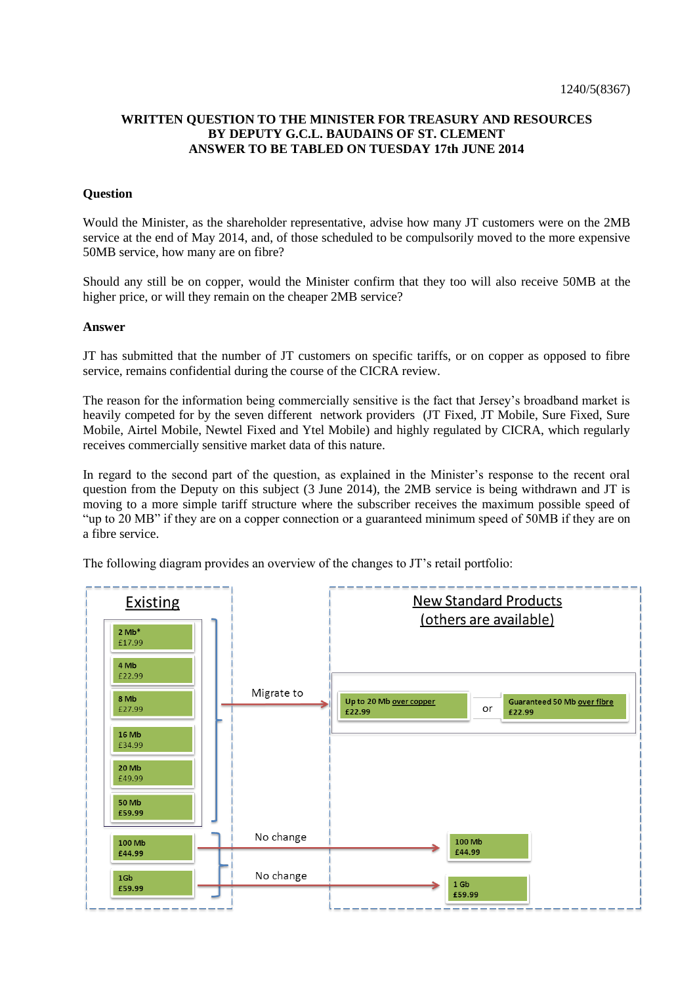## **WRITTEN QUESTION TO THE MINISTER FOR TREASURY AND RESOURCES BY DEPUTY G.C.L. BAUDAINS OF ST. CLEMENT ANSWER TO BE TABLED ON TUESDAY 17th JUNE 2014**

## **Question**

Would the Minister, as the shareholder representative, advise how many JT customers were on the 2MB service at the end of May 2014, and, of those scheduled to be compulsorily moved to the more expensive 50MB service, how many are on fibre?

Should any still be on copper, would the Minister confirm that they too will also receive 50MB at the higher price, or will they remain on the cheaper 2MB service?

## **Answer**

JT has submitted that the number of JT customers on specific tariffs, or on copper as opposed to fibre service, remains confidential during the course of the CICRA review.

The reason for the information being commercially sensitive is the fact that Jersey's broadband market is heavily competed for by the seven different network providers (JT Fixed, JT Mobile, Sure Fixed, Sure Mobile, Airtel Mobile, Newtel Fixed and Ytel Mobile) and highly regulated by CICRA, which regularly receives commercially sensitive market data of this nature.

In regard to the second part of the question, as explained in the Minister's response to the recent oral question from the Deputy on this subject (3 June 2014), the 2MB service is being withdrawn and JT is moving to a more simple tariff structure where the subscriber receives the maximum possible speed of "up to 20 MB" if they are on a copper connection or a guaranteed minimum speed of 50MB if they are on a fibre service.

The following diagram provides an overview of the changes to JT's retail portfolio: